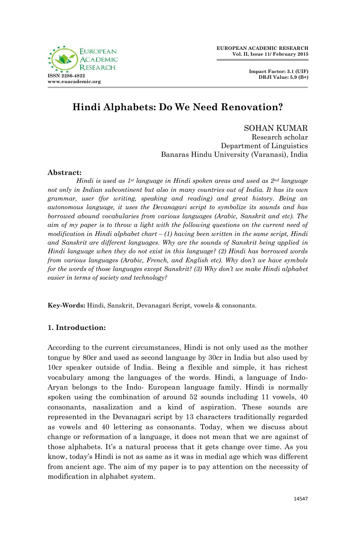

# **Hindi Alphabets: Do We Need Renovation?**

SOHAN KUMAR Research scholar Department of Linguistics Banaras Hindu University (Varanasi), India

# **Abstract:**

*Hindi is used as 1st language in Hindi spoken areas and used as 2nd language not only in Indian subcontinent but also in many countries out of India. It has its own grammar, user (for writing, speaking and reading) and great history. Being an autonomous language, it uses the Devanagari script to symbolize its sounds and has borrowed abound vocabularies from various languages (Arabic, Sanskrit and etc). The aim of my paper is to throw a light with the following questions on the current need of modification in Hindi alphabet chart – (1) having been written in the same script, Hindi and Sanskrit are different languages. Why are the sounds of Sanskrit being applied in Hindi language when they do not exist in this language? (2) Hindi has borrowed words from various languages (Arabic, French, and English etc). Why don't we have symbols for the words of those languages except Sanskrit? (3) Why don't we make Hindi alphabet easier in terms of society and technology?* 

**Key-Words:** Hindi, Sanskrit, Devanagari Script, vowels & consonants.

# **1. Introduction:**

According to the current circumstances, Hindi is not only used as the mother tongue by 80cr and used as second language by 30cr in India but also used by 10cr speaker outside of India. Being a flexible and simple, it has richest vocabulary among the languages of the words. Hindi, a language of Indo-Aryan belongs to the Indo- European language family. Hindi is normally spoken using the combination of around 52 sounds including 11 vowels, 40 consonants, nasalization and a kind of aspiration. These sounds are represented in the Devanagari script by 13 characters traditionally regarded as vowels and 40 lettering as consonants. Today, when we discuss about change or reformation of a language, it does not mean that we are against of those alphabets. It's a natural process that it gets change over time. As you know, today's Hindi is not as same as it was in medial age which was different from ancient age. The aim of my paper is to pay attention on the necessity of modification in alphabet system.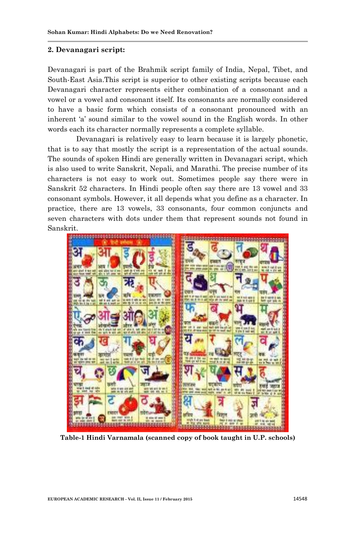#### **2. Devanagari script:**

Devanagari is part of the Brahmik script family of India, Nepal, Tibet, and South-East Asia.This script is superior to other existing scripts because each Devanagari character represents either combination of a consonant and a vowel or a vowel and consonant itself. Its consonants are normally considered to have a basic form which consists of a consonant pronounced with an inherent 'a' sound similar to the vowel sound in the English words. In other words each its character normally represents a complete syllable.

Devanagari is relatively easy to learn because it is largely phonetic, that is to say that mostly the script is a representation of the actual sounds. The sounds of spoken Hindi are generally written in Devanagari script, which is also used to write Sanskrit, Nepali, and Marathi. The precise number of its characters is not easy to work out. Sometimes people say there were in Sanskrit 52 characters. In Hindi people often say there are 13 vowel and 33 consonant symbols. However, it all depends what you define as a character. In practice, there are 13 vowels, 33 consonants, four common conjuncts and seven characters with dots under them that represent sounds not found in Sanskrit.



**Table-1 Hindi Varnamala (scanned copy of book taught in U.P. schools)**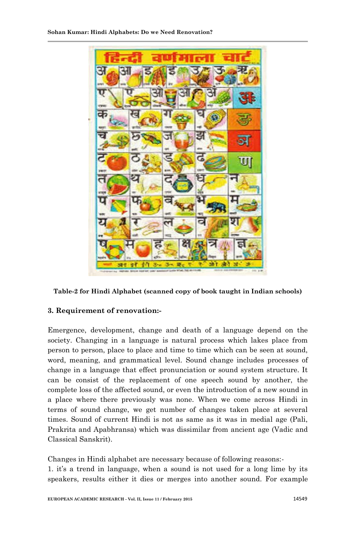

**Table-2 for Hindi Alphabet (scanned copy of book taught in Indian schools)**

# **3. Requirement of renovation:-**

Emergence, development, change and death of a language depend on the society. Changing in a language is natural process which lakes place from person to person, place to place and time to time which can be seen at sound, word, meaning, and grammatical level. Sound change includes processes of change in a language that effect pronunciation or sound system structure. It can be consist of the replacement of one speech sound by another, the complete loss of the affected sound, or even the introduction of a new sound in a place where there previously was none. When we come across Hindi in terms of sound change, we get number of changes taken place at several times. Sound of current Hindi is not as same as it was in medial age (Pali, Prakrita and Apabhransa) which was dissimilar from ancient age (Vadic and Classical Sanskrit).

Changes in Hindi alphabet are necessary because of following reasons:- 1. it's a trend in language, when a sound is not used for a long lime by its speakers, results either it dies or merges into another sound. For example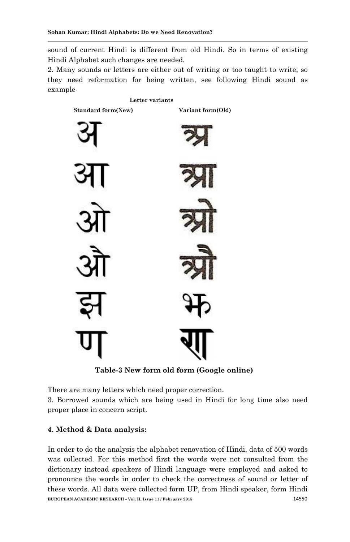sound of current Hindi is different from old Hindi. So in terms of existing Hindi Alphabet such changes are needed.

2. Many sounds or letters are either out of writing or too taught to write, so they need reformation for being written, see following Hindi sound as example-



 **Table-3 New form old form (Google online)** 

There are many letters which need proper correction.

3. Borrowed sounds which are being used in Hindi for long time also need proper place in concern script.

# **4. Method & Data analysis:**

**EUROPEAN ACADEMIC RESEARCH - Vol. II, Issue 11 / February 2015** 14550 In order to do the analysis the alphabet renovation of Hindi, data of 500 words was collected. For this method first the words were not consulted from the dictionary instead speakers of Hindi language were employed and asked to pronounce the words in order to check the correctness of sound or letter of these words. All data were collected form UP, from Hindi speaker, form Hindi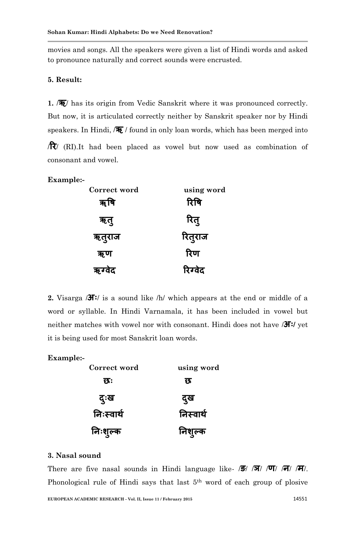movies and songs. All the speakers were given a list of Hindi words and asked to pronounce naturally and correct sounds were encrusted.

# **5. Result:**

**1.** /**ऋ**/ has its origin from Vedic Sanskrit where it was pronounced correctly. But now, it is articulated correctly neither by Sanskrit speaker nor by Hindi speakers. In Hindi, /**ऋ** / found in only loan words, which has been merged into

/**रय**/ (RI).It had been placed as vowel but now used as combination of consonant and vowel.

#### **Example:-**

| Correct word | using word |
|--------------|------------|
| ॠषि          | रिषि       |
| ऋतु          | रितु       |
| ऋतुराज       | रितुराज    |
| ऋण           | रिण        |
| ऋग्वेद       | रिग्वेद    |

**2.** Visarga /**अः**/ is a sound like /h/ which appears at the end or middle of a word or syllable. In Hindi Varnamala, it has been included in vowel but neither matches with vowel nor with consonant. Hindi does not have /**अः/** yet it is being used for most Sanskrit loan words.

#### **Example:-**

| Correct word | using word |
|--------------|------------|
| छः           | छ          |
| दुःख         | दुख        |
| निःस्वार्थ   | निस्वार्थ  |
| निःशुल्क     | निशुल्क    |

#### **3. Nasal sound**

There are five nasal sounds in Hindi language like- /**ङ**/ /**ञ**/ /**ण**/ /**न**/ /**भ**/. Phonological rule of Hindi says that last 5<sup>th</sup> word of each group of plosive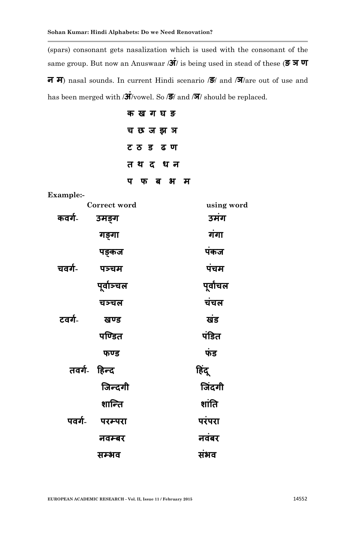(spars) consonant gets nasalization which is used with the consonant of the same group. But now an Anuswaar /**अं**/ is being used in stead of these (**ङ ञ ण न भ**) nasal sounds. In current Hindi scenario /**ङ**/ and /**ञ**/are out of use and has been merged with /**अं**/vowel. So /**ङ**/ and /**ञ**/ should be replaced.

| क ख ग घ ङ  |
|------------|
| च छ ज झ ञ  |
| ट ठ ड ढ ण  |
| तथदधन      |
| फब भम<br>प |

**Example:-**

|        | Correct word | using word |
|--------|--------------|------------|
| कवर्ग- | उमङ्ग        | उमंग       |
|        | गङ्गा        | गंगा       |
|        | पङ्कज        | पंकज       |
| चवर्ग- | पञ्चम        | पंचम       |
|        | पूर्वाञ्चल   | पूर्वांचल  |
|        | चञ्चल        | चंचल       |
| टवर्ग- | खण्ड         | खंड        |
|        | पण्डित       | पंडित      |
|        | फण्ड         | फंड        |
|        | तवर्ग- हिन्द | हिंदू      |
|        | जिन्दगी      | जिंदगी     |
|        | शान्ति       | शांति      |
| पवर्ग- | परम्परा      | परंपरा     |
|        | नवम्बर       | नवंबर      |
|        | सम्भव        | संभव       |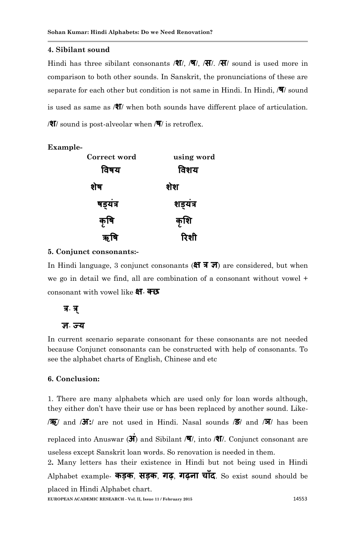#### **4. Sibilant sound**

Hindi has three sibilant consonants /**श**/, /**ष**/, /**स**/. /**स**/ sound is used more in comparison to both other sounds. In Sanskrit, the pronunciations of these are separate for each other but condition is not same in Hindi. In Hindi, /**ष**/ sound is used as same as /**श**/ when both sounds have different place of articulation. /**श**/ sound is post-alveolar when /**ष**/ is retroflex.

| Example- |              |            |
|----------|--------------|------------|
|          | Correct word | using word |
|          | विषय         | विशय       |
|          | शेष          | शेश        |
|          | षड्यत्र      | शड्यंत्र   |
|          | कृषि         | कृशि       |
|          |              | रिशी       |

#### **5. Conjunct consonants:-**

In Hindi language, 3 conjunct consonants (**क्ष त्र ज**) are considered, but when we go in detail we find, all are combination of a consonant without vowel + consonant with vowel like **ऺ**- **क्छ**

# **त्र**- **त्र ्**

#### **ऻ**- **ज्म**

In current scenario separate consonant for these consonants are not needed because Conjunct consonants can be constructed with help of consonants. To see the alphabet charts of English, Chinese and etc

#### **6. Conclusion:**

1. There are many alphabets which are used only for loan words although, they either don't have their use or has been replaced by another sound. Like- /**ऋ**/ and /**अ:**/ are not used in Hindi. Nasal sounds /**ङ**/ and /**ञ**/ has been replaced into Anuswar (**अं**) and Sibilant /**ष**/, into /**श**/. Conjunct consonant are useless except Sanskrit loan words. So renovation is needed in them. 2**.** Many letters has their existence in Hindi but not being used in Hindi Alphabet example- **कड़क**, **सड़क**, **गढ़**, **गढ़ना चााँद**. So exist sound should be placed in Hindi Alphabet chart.

**EUROPEAN ACADEMIC RESEARCH - Vol. II, Issue 11 / February 2015** 14553